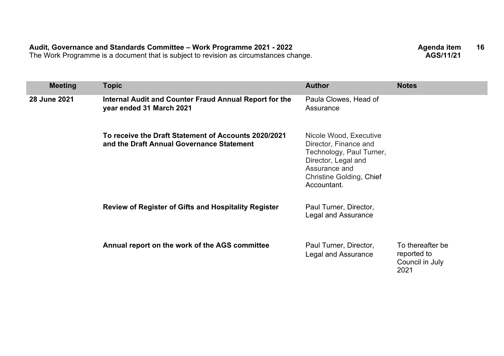| <b>Meeting</b> | <b>Topic</b>                                                                                      | <b>Author</b>                                                                                                                                                  | <b>Notes</b>                                               |
|----------------|---------------------------------------------------------------------------------------------------|----------------------------------------------------------------------------------------------------------------------------------------------------------------|------------------------------------------------------------|
| 28 June 2021   | Internal Audit and Counter Fraud Annual Report for the<br>year ended 31 March 2021                | Paula Clowes, Head of<br>Assurance                                                                                                                             |                                                            |
|                | To receive the Draft Statement of Accounts 2020/2021<br>and the Draft Annual Governance Statement | Nicole Wood, Executive<br>Director, Finance and<br>Technology, Paul Turner,<br>Director, Legal and<br>Assurance and<br>Christine Golding, Chief<br>Accountant. |                                                            |
|                | <b>Review of Register of Gifts and Hospitality Register</b>                                       | Paul Turner, Director,<br>Legal and Assurance                                                                                                                  |                                                            |
|                | Annual report on the work of the AGS committee                                                    | Paul Turner, Director,<br><b>Legal and Assurance</b>                                                                                                           | To thereafter be<br>reported to<br>Council in July<br>2021 |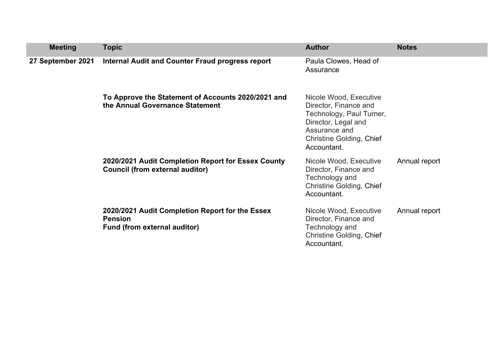| <b>Meeting</b>    | <b>Topic</b>                                                                                      | <b>Author</b>                                                                                                                                                         | <b>Notes</b>  |
|-------------------|---------------------------------------------------------------------------------------------------|-----------------------------------------------------------------------------------------------------------------------------------------------------------------------|---------------|
| 27 September 2021 | Internal Audit and Counter Fraud progress report                                                  | Paula Clowes, Head of<br>Assurance                                                                                                                                    |               |
|                   | To Approve the Statement of Accounts 2020/2021 and<br>the Annual Governance Statement             | Nicole Wood, Executive<br>Director, Finance and<br>Technology, Paul Turner,<br>Director, Legal and<br>Assurance and<br><b>Christine Golding, Chief</b><br>Accountant. |               |
|                   | 2020/2021 Audit Completion Report for Essex County<br>Council (from external auditor)             | Nicole Wood, Executive<br>Director, Finance and<br>Technology and<br><b>Christine Golding, Chief</b><br>Accountant.                                                   | Annual report |
|                   | 2020/2021 Audit Completion Report for the Essex<br><b>Pension</b><br>Fund (from external auditor) | Nicole Wood, Executive<br>Director, Finance and<br>Technology and<br><b>Christine Golding, Chief</b><br>Accountant.                                                   | Annual report |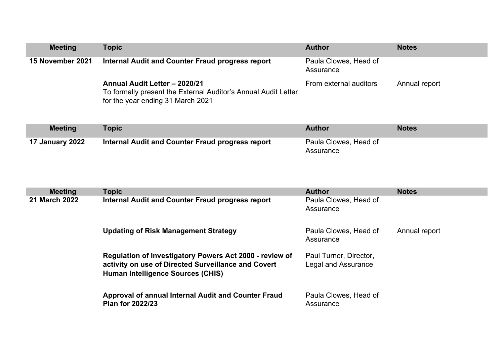| <b>Meeting</b>   | Topic                                                                                                                                | <b>Author</b>                      | <b>Notes</b>  |
|------------------|--------------------------------------------------------------------------------------------------------------------------------------|------------------------------------|---------------|
| 15 November 2021 | Internal Audit and Counter Fraud progress report                                                                                     | Paula Clowes, Head of<br>Assurance |               |
|                  | Annual Audit Letter - 2020/21<br>To formally present the External Auditor's Annual Audit Letter<br>for the year ending 31 March 2021 | From external auditors             | Annual report |

| <b>Meeting</b>         | Topic                                            | Author                             | <b>Notes</b> |
|------------------------|--------------------------------------------------|------------------------------------|--------------|
| <b>17 January 2022</b> | Internal Audit and Counter Fraud progress report | Paula Clowes, Head of<br>Assurance |              |

| <b>Meeting</b>       | <b>Topic</b>                                                                                                                                                      | <b>Author</b>                                 | <b>Notes</b>  |
|----------------------|-------------------------------------------------------------------------------------------------------------------------------------------------------------------|-----------------------------------------------|---------------|
| <b>21 March 2022</b> | <b>Internal Audit and Counter Fraud progress report</b>                                                                                                           | Paula Clowes, Head of<br>Assurance            |               |
|                      | <b>Updating of Risk Management Strategy</b>                                                                                                                       | Paula Clowes, Head of<br>Assurance            | Annual report |
|                      | <b>Regulation of Investigatory Powers Act 2000 - review of</b><br>activity on use of Directed Surveillance and Covert<br><b>Human Intelligence Sources (CHIS)</b> | Paul Turner, Director,<br>Legal and Assurance |               |
|                      | Approval of annual Internal Audit and Counter Fraud<br><b>Plan for 2022/23</b>                                                                                    | Paula Clowes, Head of<br>Assurance            |               |